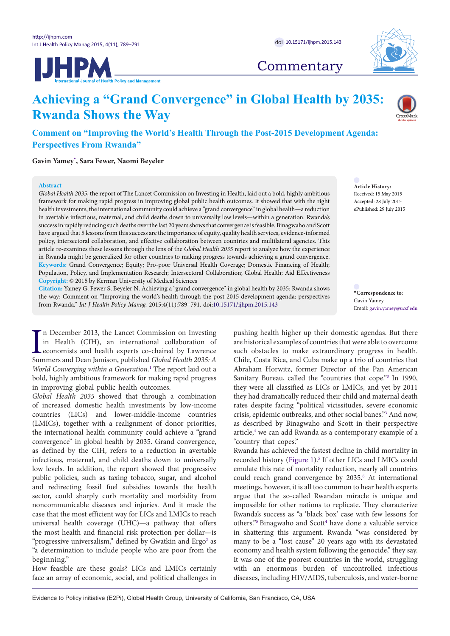



# **Commentary**

# **Achieving a "Grand Convergence" in Global Health by 2035: Rwanda Shows the Way**



**Comment on "Improving the World's Health Through the Post-2015 Development Agenda: Perspectives From Rwanda"**

**Gavin Yamey[\\*](#page-0-0) , Sara Fewer, Naomi Beyeler**

## **Abstract**

*Global Health 2035*, the report of The Lancet Commission on Investing in Health, laid out a bold, highly ambitious framework for making rapid progress in improving global public health outcomes. It showed that with the right health investments, the international community could achieve a "grand convergence" in global health—a reduction in avertable infectious, maternal, and child deaths down to universally low levels—within a generation. Rwanda's success in rapidly reducing such deaths over the last 20 years shows that convergence is feasible. Binagwaho and Scott have argued that 5 lessons from this success are the importance of equity, quality health services, evidence-informed policy, intersectoral collaboration, and effective collaboration between countries and multilateral agencies. This article re-examines these lessons through the lens of the *Global Health 2035* report to analyze how the experience in Rwanda might be generalized for other countries to making progress towards achieving a grand convergence. **Keywords:** Grand Convergence; Equity; Pro-poor Universal Health Coverage; Domestic Financing of Health; Population, Policy, and Implementation Research; Intersectoral Collaboration; Global Health; Aid Effectiveness **Copyright:** © 2015 by Kerman University of Medical Sciences

**Citation:** Yamey G, Fewer S, Beyeler N. Achieving a "grand convergence" in global health by 2035: Rwanda shows the way: Comment on "Improving the world's health through the post-2015 development agenda: perspectives from Rwanda." *Int J Health Policy Manag.* 2015;4(11):789–791. doi:[10.15171/ijhpm.2015.143](http://dx.doi.org/10.15171/ijhpm.2015.143)

In December 2013, the Lancet Commission on Investing<br>in Health (CIH), an international collaboration of<br>economists and health experts co-chaired by Lawrence<br>Summers and Dean Jamison, published *Global Health* 2035: A n December 2013, the Lancet Commission on Investing in Health (CIH), an international collaboration of economists and health experts co-chaired by Lawrence *World Converging within a Generation.*[1](#page-2-0) The report laid out a bold, highly ambitious framework for making rapid progress in improving global public health outcomes.

*Global Health 2035* showed that through a combination of increased domestic health investments by low-income countries (LICs) and lower-middle-income countries (LMICs), together with a realignment of donor priorities, the international health community could achieve a "grand convergence" in global health by 2035. Grand convergence, as defined by the CIH, refers to a reduction in avertable infectious, maternal, and child deaths down to universally low levels. In addition, the report showed that progressive public policies, such as taxing tobacco, sugar, and alcohol and redirecting fossil fuel subsidies towards the health sector, could sharply curb mortality and morbidity from noncommunicable diseases and injuries. And it made the case that the most efficient way for LICs and LMICs to reach universal health coverage (UHC)—a pathway that offers the most health and financial risk protection per dollar—is "progressive universalism," defined by Gwatkin and Ergo<sup>[2](#page-2-1)</sup> as "a determination to include people who are poor from the beginning."

How feasible are these goals? LICs and LMICs certainly face an array of economic, social, and political challenges in **Article History:** Received: 15 May 2015 Accepted: 28 July 2015 ePublished: 29 July 2015

<span id="page-0-0"></span>**\*Correspondence to:** Gavin Yamey Email: gavin.yamey@ucsf.edu

pushing health higher up their domestic agendas. But there are historical examples of countries that were able to overcome such obstacles to make extraordinary progress in health. Chile, Costa Rica, and Cuba make up a trio of countries that Abraham Horwitz, former Director of the Pan American Sanitary Bureau, called the "countries that cope."<sup>[3](#page-2-2)</sup> In 1990, they were all classified as LICs or LMICs, and yet by 2011 they had dramatically reduced their child and maternal death rates despite facing "political vicissitudes, severe economic crisis, epidemic outbreaks, and other social banes.["3](#page-2-2) And now, as described by Binagwaho and Scott in their perspective article,<sup>4</sup> we can add Rwanda as a contemporary example of a "country that copes."

Rwanda has achieved the fastest decline in child mortality in recorded history ([Figure 1](#page-1-0)).<sup>5</sup> If other LICs and LMICs could emulate this rate of mortality reduction, nearly all countries could reach grand convergence by 2035.<sup>[6](#page-2-5)</sup> At international meetings, however, it is all too common to hear health experts argue that the so-called Rwandan miracle is unique and impossible for other nations to replicate. They characterize Rwanda's success as "a 'black box' case with few lessons for others."<sup>[5](#page-2-4)</sup> Binagwaho and Scott<sup>4</sup> have done a valuable service in shattering this argument. Rwanda "was considered by many to be a "lost cause" 20 years ago with its devastated economy and health system following the genocide," they say. It was one of the poorest countries in the world, struggling with an enormous burden of uncontrolled infectious diseases, including HIV/AIDS, tuberculosis, and water-borne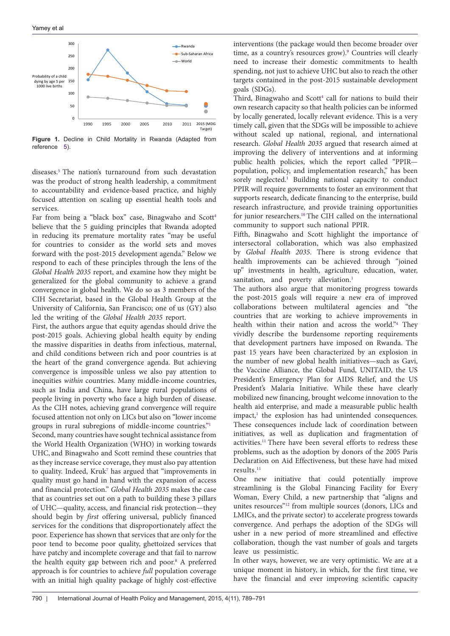<span id="page-1-0"></span>

**Figure 1.** Decline in Child Mortality in Rwanda (Adapted from reference [5\)](#page-2-4).

diseases.[5](#page-2-4) The nation's turnaround from such devastation was the product of strong health leadership, a commitment to accountability and evidence-based practice, and highly focused attention on scaling up essential health tools and services.

Far from being a "black box" case, Binagwaho and Scott<sup>4</sup> believe that the 5 guiding principles that Rwanda adopted in reducing its premature mortality rates "may be useful for countries to consider as the world sets and moves forward with the post-2015 development agenda." Below we respond to each of these principles through the lens of the *Global Health 2035* report, and examine how they might be generalized for the global community to achieve a grand convergence in global health. We do so as 3 members of the CIH Secretariat, based in the Global Health Group at the University of California, San Francisco; one of us (GY) also led the writing of the *Global Health 2035* report.

First, the authors argue that equity agendas should drive the post-2015 goals. Achieving global health equity by ending the massive disparities in deaths from infectious, maternal, and child conditions between rich and poor countries is at the heart of the grand convergence agenda. But achieving convergence is impossible unless we also pay attention to inequities *within* countries. Many middle-income countries, such as India and China, have large rural populations of people living in poverty who face a high burden of disease. As the CIH notes, achieving grand convergence will require focused attention not only on LICs but also on "lower income groups in rural subregions of middle-income countries.["1](#page-2-0)

Second, many countries have sought technical assistance from the World Health Organization (WHO) in working towards UHC, and Binagwaho and Scott remind these countries that as they increase service coverage, they must also pay attention to quality. Indeed, Kruk<sup>7</sup> has argued that "improvements in quality must go hand in hand with the expansion of access and financial protection." *Global Health 2035* makes the case that as countries set out on a path to building these 3 pillars of UHC—quality, access, and financial risk protection—they should begin by *first* offering universal, publicly financed services for the conditions that disproportionately affect the poor. Experience has shown that services that are only for the poor tend to become poor quality, ghettoized services that have patchy and incomplete coverage and that fail to narrow the health equity gap between rich and poor.<sup>[8](#page-2-7)</sup> A preferred approach is for countries to achieve *full* population coverage with an initial high quality package of highly cost-effective

interventions (the package would then become broader over time, as a country's resources grow).<sup>[9](#page-2-8)</sup> Countries will clearly need to increase their domestic commitments to health spending, not just to achieve UHC but also to reach the other targets contained in the post-2015 sustainable development goals (SDGs).

Third, Binagwaho and Scott<sup>4</sup> call for nations to build their own research capacity so that health policies can be informed by locally generated, locally relevant evidence. This is a very timely call, given that the SDGs will be impossible to achieve without scaled up national, regional, and international research. *Global Health 2035* argued that research aimed at improving the delivery of interventions and at informing public health policies, which the report called "PPIR population, policy, and implementation research," has been sorely neglected.<sup>[1](#page-2-0)</sup> Building national capacity to conduct PPIR will require governments to foster an environment that supports research, dedicate financing to the enterprise, build research infrastructure, and provide training opportunities for junior researchers[.10](#page-2-9) The CIH called on the international community to support such national PPIR.

Fifth, Binagwaho and Scott highlight the importance of intersectoral collaboration, which was also emphasized by *Global Health 2035*. There is strong evidence that health improvements can be achieved through "joined up" investments in health, agriculture, education, water, sanitation, and poverty alleviation.<sup>[1](#page-2-0)</sup>

The authors also argue that monitoring progress towards the post-2015 goals will require a new era of improved collaborations between multilateral agencies and "the countries that are working to achieve improvements in health within their nation and across the world.["4](#page-2-3) They vividly describe the burdensome reporting requirements that development partners have imposed on Rwanda. The past 15 years have been characterized by an explosion in the number of new global health initiatives—such as Gavi, the Vaccine Alliance, the Global Fund, UNITAID, the US President's Emergency Plan for AIDS Relief, and the US President's Malaria Initiative. While these have clearly mobilized new financing, brought welcome innovation to the health aid enterprise, and made a measurable public health impact,<sup>[1](#page-2-0)</sup> the explosion has had unintended consequences. These consequences include lack of coordination between initiatives, as well as duplication and fragmentation of activities.<sup>[11](#page-2-10)</sup> There have been several efforts to redress these problems, such as the adoption by donors of the 2005 Paris Declaration on Aid Effectiveness, but these have had mixed results.[11](#page-2-10)

One new initiative that could potentially improve streamlining is the Global Financing Facility for Every Woman, Every Child, a new partnership that "aligns and unites resources"[12](#page-2-11) from multiple sources (donors, LICs and LMICs, and the private sector) to accelerate progress towards convergence. And perhaps the adoption of the SDGs will usher in a new period of more streamlined and effective collaboration, though the vast number of goals and targets leave us pessimistic.

In other ways, however, we are very optimistic. We are at a unique moment in history, in which, for the first time, we have the financial and ever improving scientific capacity